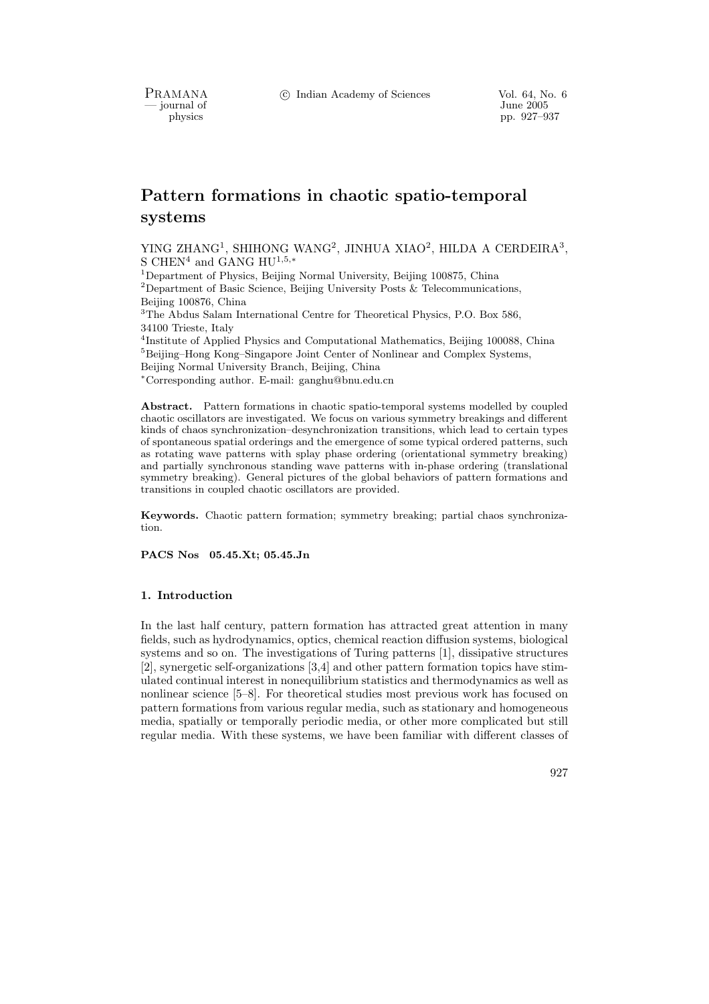PRAMANA °c Indian Academy of Sciences Vol. 64, No. 6

journal of

physics pp. 927–937

# Pattern formations in chaotic spatio-temporal systems

YING ZHANG<sup>1</sup>, SHIHONG WANG<sup>2</sup>, JINHUA XIAO<sup>2</sup>, HILDA A CERDEIRA<sup>3</sup>, S CHEN<sup>4</sup> and GANG HU<sup>1,5,\*</sup>

<sup>1</sup>Department of Physics, Beijing Normal University, Beijing 100875, China <sup>2</sup>Department of Basic Science, Beijing University Posts  $\&$  Telecommunications, Beijing 100876, China

<sup>3</sup>The Abdus Salam International Centre for Theoretical Physics, P.O. Box 586, 34100 Trieste, Italy

<sup>4</sup>Institute of Applied Physics and Computational Mathematics, Beijing 100088, China <sup>5</sup>Beijing–Hong Kong–Singapore Joint Center of Nonlinear and Complex Systems, Beijing Normal University Branch, Beijing, China

<sup>∗</sup>Corresponding author. E-mail: ganghu@bnu.edu.cn

Abstract. Pattern formations in chaotic spatio-temporal systems modelled by coupled chaotic oscillators are investigated. We focus on various symmetry breakings and different kinds of chaos synchronization–desynchronization transitions, which lead to certain types of spontaneous spatial orderings and the emergence of some typical ordered patterns, such as rotating wave patterns with splay phase ordering (orientational symmetry breaking) and partially synchronous standing wave patterns with in-phase ordering (translational symmetry breaking). General pictures of the global behaviors of pattern formations and transitions in coupled chaotic oscillators are provided.

Keywords. Chaotic pattern formation; symmetry breaking; partial chaos synchronization.

PACS Nos 05.45.Xt; 05.45.Jn

# 1. Introduction

In the last half century, pattern formation has attracted great attention in many fields, such as hydrodynamics, optics, chemical reaction diffusion systems, biological systems and so on. The investigations of Turing patterns [1], dissipative structures [2], synergetic self-organizations [3,4] and other pattern formation topics have stimulated continual interest in nonequilibrium statistics and thermodynamics as well as nonlinear science [5–8]. For theoretical studies most previous work has focused on pattern formations from various regular media, such as stationary and homogeneous media, spatially or temporally periodic media, or other more complicated but still regular media. With these systems, we have been familiar with different classes of

927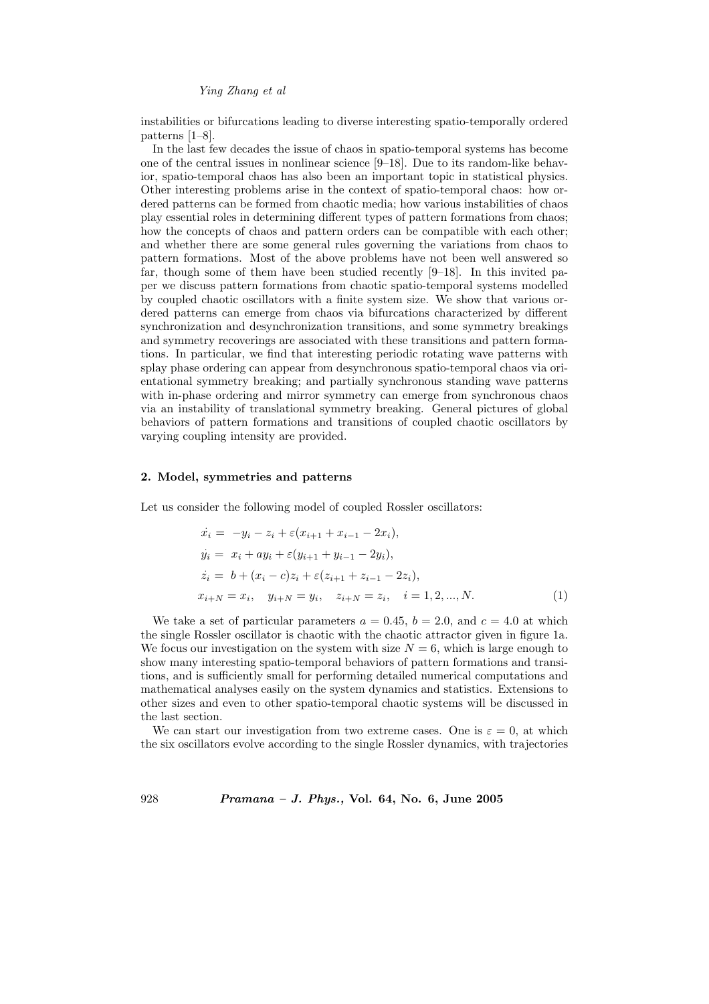instabilities or bifurcations leading to diverse interesting spatio-temporally ordered patterns [1–8].

In the last few decades the issue of chaos in spatio-temporal systems has become one of the central issues in nonlinear science [9–18]. Due to its random-like behavior, spatio-temporal chaos has also been an important topic in statistical physics. Other interesting problems arise in the context of spatio-temporal chaos: how ordered patterns can be formed from chaotic media; how various instabilities of chaos play essential roles in determining different types of pattern formations from chaos; how the concepts of chaos and pattern orders can be compatible with each other; and whether there are some general rules governing the variations from chaos to pattern formations. Most of the above problems have not been well answered so far, though some of them have been studied recently [9–18]. In this invited paper we discuss pattern formations from chaotic spatio-temporal systems modelled by coupled chaotic oscillators with a finite system size. We show that various ordered patterns can emerge from chaos via bifurcations characterized by different synchronization and desynchronization transitions, and some symmetry breakings and symmetry recoverings are associated with these transitions and pattern formations. In particular, we find that interesting periodic rotating wave patterns with splay phase ordering can appear from desynchronous spatio-temporal chaos via orientational symmetry breaking; and partially synchronous standing wave patterns with in-phase ordering and mirror symmetry can emerge from synchronous chaos via an instability of translational symmetry breaking. General pictures of global behaviors of pattern formations and transitions of coupled chaotic oscillators by varying coupling intensity are provided.

#### 2. Model, symmetries and patterns

Let us consider the following model of coupled Rossler oscillators:

$$
\begin{aligned}\n\dot{x}_i &= -y_i - z_i + \varepsilon (x_{i+1} + x_{i-1} - 2x_i), \\
\dot{y}_i &= x_i + ay_i + \varepsilon (y_{i+1} + y_{i-1} - 2y_i), \\
\dot{z}_i &= b + (x_i - c)z_i + \varepsilon (z_{i+1} + z_{i-1} - 2z_i), \\
x_{i+N} &= x_i, \quad y_{i+N} = y_i, \quad z_{i+N} = z_i, \quad i = 1, 2, \dots, N.\n\end{aligned} \tag{1}
$$

We take a set of particular parameters  $a = 0.45$ ,  $b = 2.0$ , and  $c = 4.0$  at which the single Rossler oscillator is chaotic with the chaotic attractor given in figure 1a. We focus our investigation on the system with size  $N = 6$ , which is large enough to show many interesting spatio-temporal behaviors of pattern formations and transitions, and is sufficiently small for performing detailed numerical computations and mathematical analyses easily on the system dynamics and statistics. Extensions to other sizes and even to other spatio-temporal chaotic systems will be discussed in the last section.

We can start our investigation from two extreme cases. One is  $\varepsilon = 0$ , at which the six oscillators evolve according to the single Rossler dynamics, with trajectories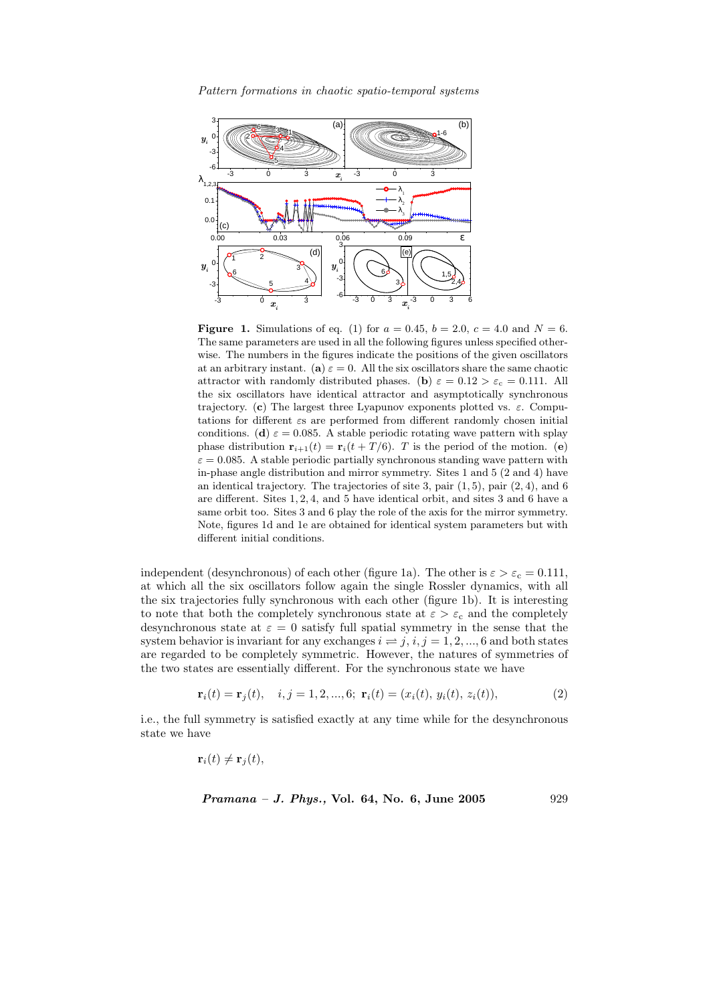

**Figure 1.** Simulations of eq. (1) for  $a = 0.45$ ,  $b = 2.0$ ,  $c = 4.0$  and  $N = 6$ . The same parameters are used in all the following figures unless specified otherwise. The numbers in the figures indicate the positions of the given oscillators at an arbitrary instant. (a)  $\varepsilon = 0$ . All the six oscillators share the same chaotic attractor with randomly distributed phases. (b)  $\varepsilon = 0.12 > \varepsilon_c = 0.111$ . All the six oscillators have identical attractor and asymptotically synchronous trajectory. (c) The largest three Lyapunov exponents plotted vs.  $\varepsilon$ . Computations for different εs are performed from different randomly chosen initial conditions. (d)  $\varepsilon = 0.085$ . A stable periodic rotating wave pattern with splay phase distribution  $\mathbf{r}_{i+1}(t) = \mathbf{r}_i(t + T/6)$ . T is the period of the motion. (e)  $\varepsilon = 0.085$ . A stable periodic partially synchronous standing wave pattern with in-phase angle distribution and mirror symmetry. Sites 1 and 5 (2 and 4) have an identical trajectory. The trajectories of site 3, pair  $(1, 5)$ , pair  $(2, 4)$ , and 6 are different. Sites 1, 2, 4, and 5 have identical orbit, and sites 3 and 6 have a same orbit too. Sites 3 and 6 play the role of the axis for the mirror symmetry. Note, figures 1d and 1e are obtained for identical system parameters but with different initial conditions.

independent (desynchronous) of each other (figure 1a). The other is  $\varepsilon > \varepsilon_c = 0.111$ , at which all the six oscillators follow again the single Rossler dynamics, with all the six trajectories fully synchronous with each other (figure 1b). It is interesting to note that both the completely synchronous state at  $\varepsilon > \varepsilon_c$  and the completely desynchronous state at  $\varepsilon = 0$  satisfy full spatial symmetry in the sense that the system behavior is invariant for any exchanges  $i \rightleftharpoons j, i, j = 1, 2, ..., 6$  and both states are regarded to be completely symmetric. However, the natures of symmetries of the two states are essentially different. For the synchronous state we have

$$
\mathbf{r}_i(t) = \mathbf{r}_j(t), \quad i, j = 1, 2, ..., 6; \; \mathbf{r}_i(t) = (x_i(t), y_i(t), z_i(t)), \tag{2}
$$

i.e., the full symmetry is satisfied exactly at any time while for the desynchronous state we have

 $\mathbf{r}_i(t) \neq \mathbf{r}_j(t),$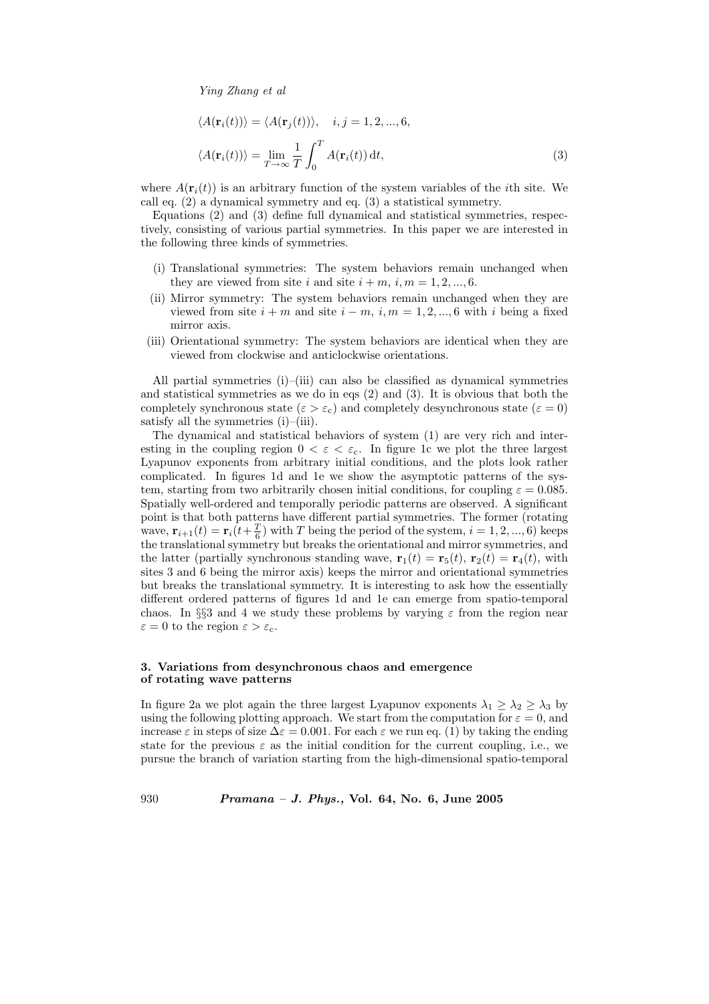$$
\langle A(\mathbf{r}_i(t)) \rangle = \langle A(\mathbf{r}_j(t)) \rangle, \quad i, j = 1, 2, ..., 6,
$$

$$
\langle A(\mathbf{r}_i(t)) \rangle = \lim_{T \to \infty} \frac{1}{T} \int_0^T A(\mathbf{r}_i(t)) dt,
$$
 (3)

where  $A(\mathbf{r}_i(t))$  is an arbitrary function of the system variables of the *i*th site. We call eq. (2) a dynamical symmetry and eq. (3) a statistical symmetry.

Equations (2) and (3) define full dynamical and statistical symmetries, respectively, consisting of various partial symmetries. In this paper we are interested in the following three kinds of symmetries.

- (i) Translational symmetries: The system behaviors remain unchanged when they are viewed from site i and site  $i + m$ , i,  $m = 1, 2, ..., 6$ .
- (ii) Mirror symmetry: The system behaviors remain unchanged when they are viewed from site  $i + m$  and site  $i - m$ ,  $i, m = 1, 2, ..., 6$  with i being a fixed mirror axis.
- (iii) Orientational symmetry: The system behaviors are identical when they are viewed from clockwise and anticlockwise orientations.

All partial symmetries (i)–(iii) can also be classified as dynamical symmetries and statistical symmetries as we do in eqs  $(2)$  and  $(3)$ . It is obvious that both the completely synchronous state ( $\varepsilon > \varepsilon_c$ ) and completely desynchronous state ( $\varepsilon = 0$ ) satisfy all the symmetries (i)–(iii).

The dynamical and statistical behaviors of system (1) are very rich and interesting in the coupling region  $0 < \varepsilon < \varepsilon_c$ . In figure 1c we plot the three largest Lyapunov exponents from arbitrary initial conditions, and the plots look rather complicated. In figures 1d and 1e we show the asymptotic patterns of the system, starting from two arbitrarily chosen initial conditions, for coupling  $\varepsilon = 0.085$ . Spatially well-ordered and temporally periodic patterns are observed. A significant point is that both patterns have different partial symmetries. The former (rotating wave,  $\mathbf{r}_{i+1}(t) = \mathbf{r}_i(t + \frac{T}{6})$  with T being the period of the system,  $i = 1, 2, ..., 6$ ) keeps the translational symmetry but breaks the orientational and mirror symmetries, and the latter (partially synchronous standing wave,  $\mathbf{r}_1(t) = \mathbf{r}_5(t)$ ,  $\mathbf{r}_2(t) = \mathbf{r}_4(t)$ , with sites 3 and 6 being the mirror axis) keeps the mirror and orientational symmetries but breaks the translational symmetry. It is interesting to ask how the essentially different ordered patterns of figures 1d and 1e can emerge from spatio-temporal chaos. In §§3 and 4 we study these problems by varying  $\varepsilon$  from the region near  $\varepsilon = 0$  to the region  $\varepsilon > \varepsilon_c$ .

# 3. Variations from desynchronous chaos and emergence of rotating wave patterns

In figure 2a we plot again the three largest Lyapunov exponents  $\lambda_1 \geq \lambda_2 \geq \lambda_3$  by using the following plotting approach. We start from the computation for  $\varepsilon = 0$ , and increase  $\varepsilon$  in steps of size  $\Delta \varepsilon = 0.001$ . For each  $\varepsilon$  we run eq. (1) by taking the ending state for the previous  $\varepsilon$  as the initial condition for the current coupling, i.e., we pursue the branch of variation starting from the high-dimensional spatio-temporal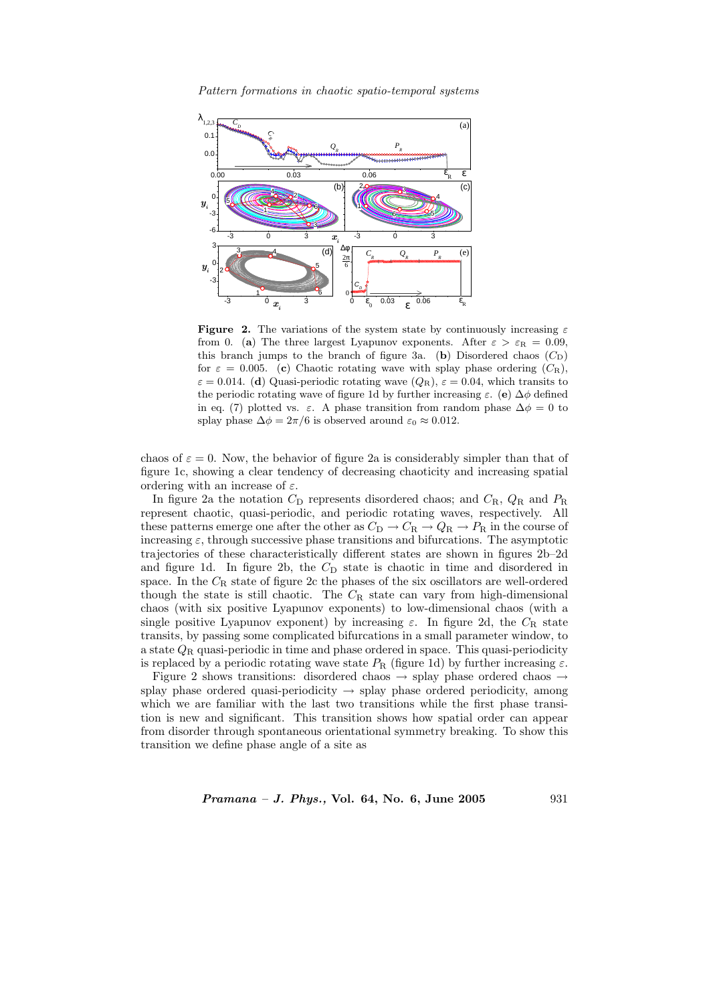



**Figure 2.** The variations of the system state by continuously increasing  $\varepsilon$ from 0. (a) The three largest Lyapunov exponents. After  $\varepsilon > \varepsilon_R = 0.09$ , this branch jumps to the branch of figure 3a. (b) Disordered chaos  $(C<sub>D</sub>)$ for  $\varepsilon = 0.005$ . (c) Chaotic rotating wave with splay phase ordering  $(C_{\rm R})$ ,  $\varepsilon = 0.014$ . (d) Quasi-periodic rotating wave  $(Q_R)$ ,  $\varepsilon = 0.04$ , which transits to the periodic rotating wave of figure 1d by further increasing  $\varepsilon$ . (e)  $\Delta \phi$  defined in eq. (7) plotted vs.  $\varepsilon$ . A phase transition from random phase  $\Delta \phi = 0$  to splay phase  $\Delta \phi = 2\pi/6$  is observed around  $\varepsilon_0 \approx 0.012$ .

chaos of  $\varepsilon = 0$ . Now, the behavior of figure 2a is considerably simpler than that of figure 1c, showing a clear tendency of decreasing chaoticity and increasing spatial ordering with an increase of  $\varepsilon$ .

In figure 2a the notation  $C_D$  represents disordered chaos; and  $C_R$ ,  $Q_R$  and  $P_R$ represent chaotic, quasi-periodic, and periodic rotating waves, respectively. All these patterns emerge one after the other as  $C_{\text{D}} \to C_{\text{R}} \to Q_{\text{R}} \to P_{\text{R}}$  in the course of increasing  $\varepsilon$ , through successive phase transitions and bifurcations. The asymptotic trajectories of these characteristically different states are shown in figures 2b–2d and figure 1d. In figure 2b, the  $C<sub>D</sub>$  state is chaotic in time and disordered in space. In the  $C_R$  state of figure 2c the phases of the six oscillators are well-ordered though the state is still chaotic. The  $C_R$  state can vary from high-dimensional chaos (with six positive Lyapunov exponents) to low-dimensional chaos (with a single positive Lyapunov exponent) by increasing  $\varepsilon$ . In figure 2d, the  $C_R$  state transits, by passing some complicated bifurcations in a small parameter window, to a state  $Q<sub>R</sub>$  quasi-periodic in time and phase ordered in space. This quasi-periodicity is replaced by a periodic rotating wave state  $P_R$  (figure 1d) by further increasing  $\varepsilon$ .

Figure 2 shows transitions: disordered chaos  $\rightarrow$  splay phase ordered chaos  $\rightarrow$ splay phase ordered quasi-periodicity  $\rightarrow$  splay phase ordered periodicity, among which we are familiar with the last two transitions while the first phase transition is new and significant. This transition shows how spatial order can appear from disorder through spontaneous orientational symmetry breaking. To show this transition we define phase angle of a site as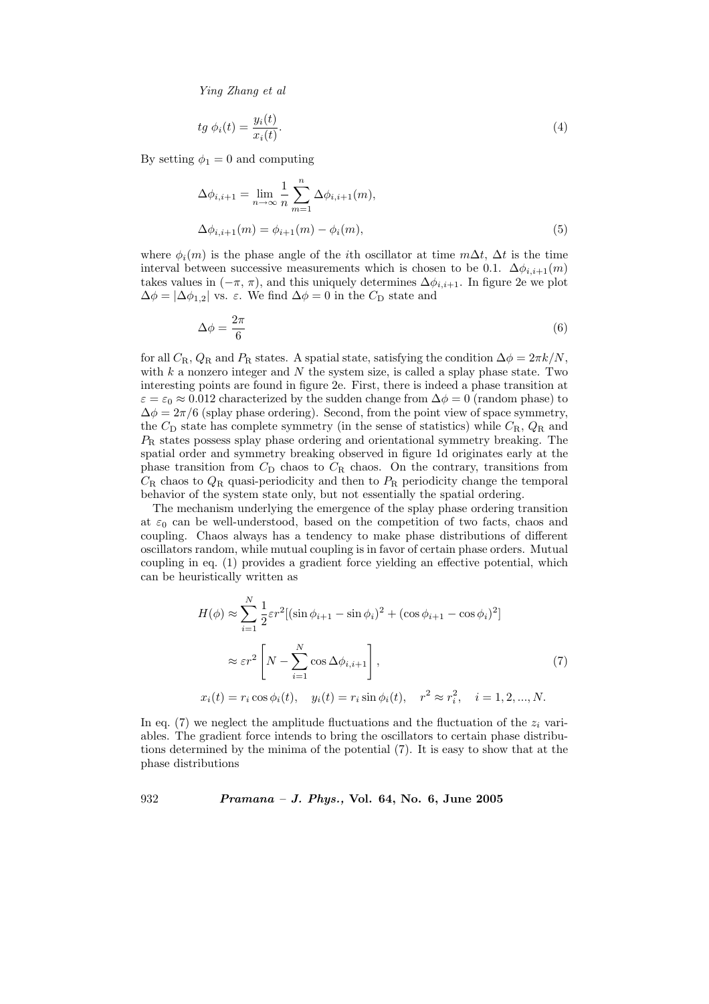$$
tg \phi_i(t) = \frac{y_i(t)}{x_i(t)}.\tag{4}
$$

By setting  $\phi_1 = 0$  and computing

$$
\Delta \phi_{i,i+1} = \lim_{n \to \infty} \frac{1}{n} \sum_{m=1}^{n} \Delta \phi_{i,i+1}(m),
$$
  

$$
\Delta \phi_{i,i+1}(m) = \phi_{i+1}(m) - \phi_i(m),
$$
 (5)

where  $\phi_i(m)$  is the phase angle of the *i*th oscillator at time  $m\Delta t$ ,  $\Delta t$  is the time interval between successive measurements which is chosen to be 0.1.  $\Delta \phi_{i,i+1}(m)$ takes values in  $(-\pi, \pi)$ , and this uniquely determines  $\Delta \phi_{i,i+1}$ . In figure 2e we plot  $\Delta \phi = |\Delta \phi_{1,2}|$  vs.  $\varepsilon$ . We find  $\Delta \phi = 0$  in the  $C_{\text{D}}$  state and

$$
\Delta \phi = \frac{2\pi}{6} \tag{6}
$$

for all  $C_R$ ,  $Q_R$  and  $P_R$  states. A spatial state, satisfying the condition  $\Delta \phi = 2\pi k/N$ , with  $k$  a nonzero integer and  $N$  the system size, is called a splay phase state. Two interesting points are found in figure 2e. First, there is indeed a phase transition at  $\varepsilon = \varepsilon_0 \approx 0.012$  characterized by the sudden change from  $\Delta \phi = 0$  (random phase) to  $\Delta \phi = 2\pi/6$  (splay phase ordering). Second, from the point view of space symmetry, the  $C_{\rm D}$  state has complete symmetry (in the sense of statistics) while  $C_{\rm R}$ ,  $Q_{\rm R}$  and  $P_{\rm R}$  states possess splay phase ordering and orientational symmetry breaking. The spatial order and symmetry breaking observed in figure 1d originates early at the phase transition from  $C_D$  chaos to  $C_R$  chaos. On the contrary, transitions from  $C_{\rm R}$  chaos to  $Q_{\rm R}$  quasi-periodicity and then to  $P_{\rm R}$  periodicity change the temporal behavior of the system state only, but not essentially the spatial ordering.

The mechanism underlying the emergence of the splay phase ordering transition at  $\varepsilon_0$  can be well-understood, based on the competition of two facts, chaos and coupling. Chaos always has a tendency to make phase distributions of different oscillators random, while mutual coupling is in favor of certain phase orders. Mutual coupling in eq. (1) provides a gradient force yielding an effective potential, which can be heuristically written as

$$
H(\phi) \approx \sum_{i=1}^{N} \frac{1}{2} \varepsilon r^2 \left[ (\sin \phi_{i+1} - \sin \phi_i)^2 + (\cos \phi_{i+1} - \cos \phi_i)^2 \right]
$$
  

$$
\approx \varepsilon r^2 \left[ N - \sum_{i=1}^{N} \cos \Delta \phi_{i,i+1} \right],
$$
  

$$
x_i(t) = r_i \cos \phi_i(t), \quad y_i(t) = r_i \sin \phi_i(t), \quad r^2 \approx r_i^2, \quad i = 1, 2, ..., N.
$$
 (7)

In eq. (7) we neglect the amplitude fluctuations and the fluctuation of the  $z_i$  variables. The gradient force intends to bring the oscillators to certain phase distributions determined by the minima of the potential (7). It is easy to show that at the phase distributions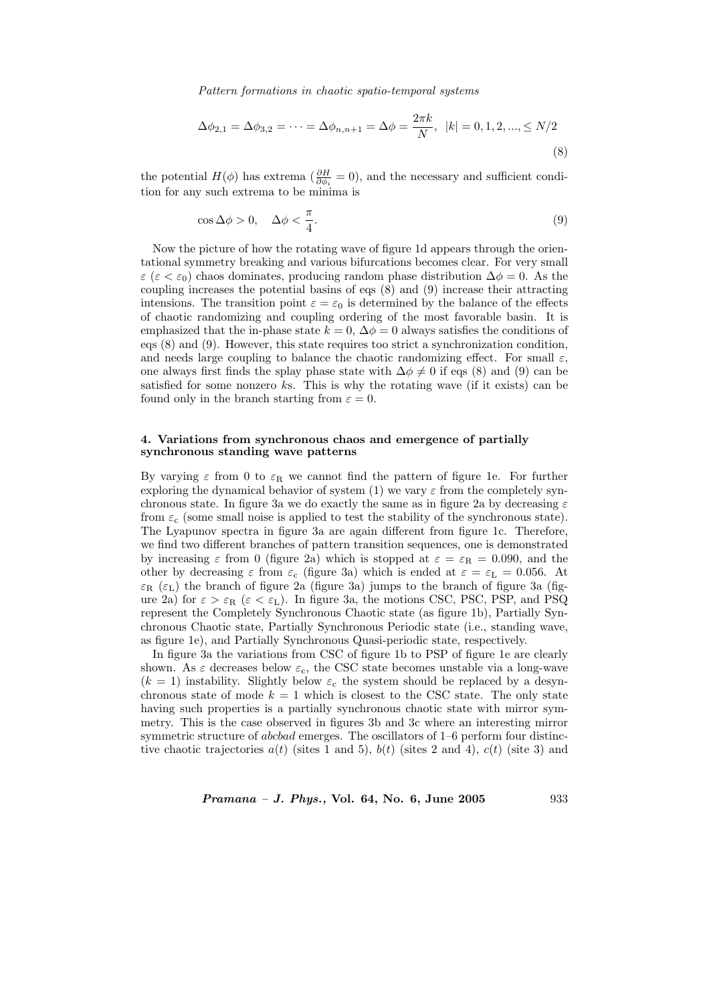Pattern formations in chaotic spatio-temporal systems

$$
\Delta \phi_{2,1} = \Delta \phi_{3,2} = \dots = \Delta \phi_{n,n+1} = \Delta \phi = \frac{2\pi k}{N}, \ \ |k| = 0, 1, 2, \dots, \le N/2
$$
\n(8)

the potential  $H(\phi)$  has extrema  $(\frac{\partial H}{\partial \phi_i} = 0)$ , and the necessary and sufficient condition for any such extrema to be minima is

$$
\cos \Delta \phi > 0, \quad \Delta \phi < \frac{\pi}{4}.
$$
\n(9)

Now the picture of how the rotating wave of figure 1d appears through the orientational symmetry breaking and various bifurcations becomes clear. For very small  $\varepsilon$  ( $\varepsilon < \varepsilon_0$ ) chaos dominates, producing random phase distribution  $\Delta \phi = 0$ . As the coupling increases the potential basins of eqs (8) and (9) increase their attracting intensions. The transition point  $\varepsilon = \varepsilon_0$  is determined by the balance of the effects of chaotic randomizing and coupling ordering of the most favorable basin. It is emphasized that the in-phase state  $k = 0$ ,  $\Delta \phi = 0$  always satisfies the conditions of eqs (8) and (9). However, this state requires too strict a synchronization condition, and needs large coupling to balance the chaotic randomizing effect. For small  $\varepsilon$ , one always first finds the splay phase state with  $\Delta \phi \neq 0$  if eqs (8) and (9) can be satisfied for some nonzero  $k$ s. This is why the rotating wave (if it exists) can be found only in the branch starting from  $\varepsilon = 0$ .

### 4. Variations from synchronous chaos and emergence of partially synchronous standing wave patterns

By varying  $\varepsilon$  from 0 to  $\varepsilon_R$  we cannot find the pattern of figure 1e. For further exploring the dynamical behavior of system (1) we vary  $\varepsilon$  from the completely synchronous state. In figure 3a we do exactly the same as in figure 2a by decreasing  $\varepsilon$ from  $\varepsilon_c$  (some small noise is applied to test the stability of the synchronous state). The Lyapunov spectra in figure 3a are again different from figure 1c. Therefore, we find two different branches of pattern transition sequences, one is demonstrated by increasing  $\varepsilon$  from 0 (figure 2a) which is stopped at  $\varepsilon = \varepsilon_R = 0.090$ , and the other by decreasing  $\varepsilon$  from  $\varepsilon_c$  (figure 3a) which is ended at  $\varepsilon = \varepsilon_L = 0.056$ . At  $\varepsilon_R$  ( $\varepsilon_L$ ) the branch of figure 2a (figure 3a) jumps to the branch of figure 3a (figure 2a) for  $\varepsilon > \varepsilon_R$  ( $\varepsilon < \varepsilon_L$ ). In figure 3a, the motions CSC, PSC, PSP, and PSQ represent the Completely Synchronous Chaotic state (as figure 1b), Partially Synchronous Chaotic state, Partially Synchronous Periodic state (i.e., standing wave, as figure 1e), and Partially Synchronous Quasi-periodic state, respectively.

In figure 3a the variations from CSC of figure 1b to PSP of figure 1e are clearly shown. As  $\varepsilon$  decreases below  $\varepsilon_c$ , the CSC state becomes unstable via a long-wave  $(k = 1)$  instability. Slightly below  $\varepsilon_c$  the system should be replaced by a desynchronous state of mode  $k = 1$  which is closest to the CSC state. The only state having such properties is a partially synchronous chaotic state with mirror symmetry. This is the case observed in figures 3b and 3c where an interesting mirror symmetric structure of abcbad emerges. The oscillators of 1–6 perform four distinctive chaotic trajectories  $a(t)$  (sites 1 and 5),  $b(t)$  (sites 2 and 4),  $c(t)$  (site 3) and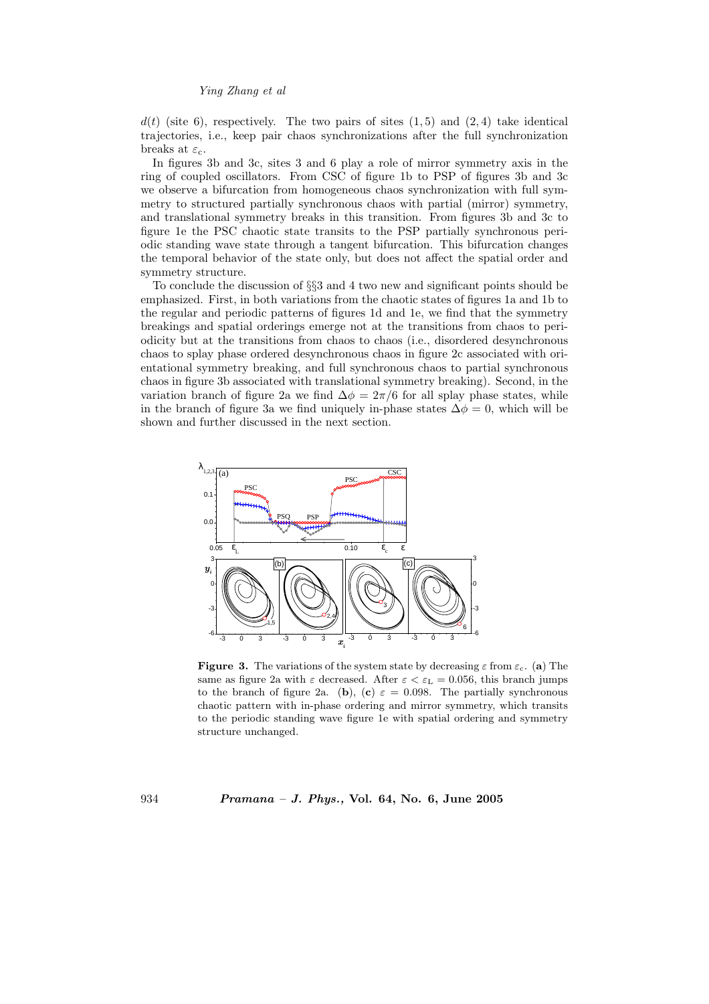$d(t)$  (site 6), respectively. The two pairs of sites  $(1, 5)$  and  $(2, 4)$  take identical trajectories, i.e., keep pair chaos synchronizations after the full synchronization breaks at  $\varepsilon_c$ .

In figures 3b and 3c, sites 3 and 6 play a role of mirror symmetry axis in the ring of coupled oscillators. From CSC of figure 1b to PSP of figures 3b and 3c we observe a bifurcation from homogeneous chaos synchronization with full symmetry to structured partially synchronous chaos with partial (mirror) symmetry, and translational symmetry breaks in this transition. From figures 3b and 3c to figure 1e the PSC chaotic state transits to the PSP partially synchronous periodic standing wave state through a tangent bifurcation. This bifurcation changes the temporal behavior of the state only, but does not affect the spatial order and symmetry structure.

To conclude the discussion of §§3 and 4 two new and significant points should be emphasized. First, in both variations from the chaotic states of figures 1a and 1b to the regular and periodic patterns of figures 1d and 1e, we find that the symmetry breakings and spatial orderings emerge not at the transitions from chaos to periodicity but at the transitions from chaos to chaos (i.e., disordered desynchronous chaos to splay phase ordered desynchronous chaos in figure 2c associated with orientational symmetry breaking, and full synchronous chaos to partial synchronous chaos in figure 3b associated with translational symmetry breaking). Second, in the variation branch of figure 2a we find  $\Delta \phi = 2\pi/6$  for all splay phase states, while in the branch of figure 3a we find uniquely in-phase states  $\Delta \phi = 0$ , which will be shown and further discussed in the next section.



**Figure 3.** The variations of the system state by decreasing  $\varepsilon$  from  $\varepsilon_c$ . (a) The same as figure 2a with  $\varepsilon$  decreased. After  $\varepsilon < \varepsilon_L = 0.056$ , this branch jumps to the branch of figure 2a. (b), (c)  $\varepsilon = 0.098$ . The partially synchronous chaotic pattern with in-phase ordering and mirror symmetry, which transits to the periodic standing wave figure 1e with spatial ordering and symmetry structure unchanged.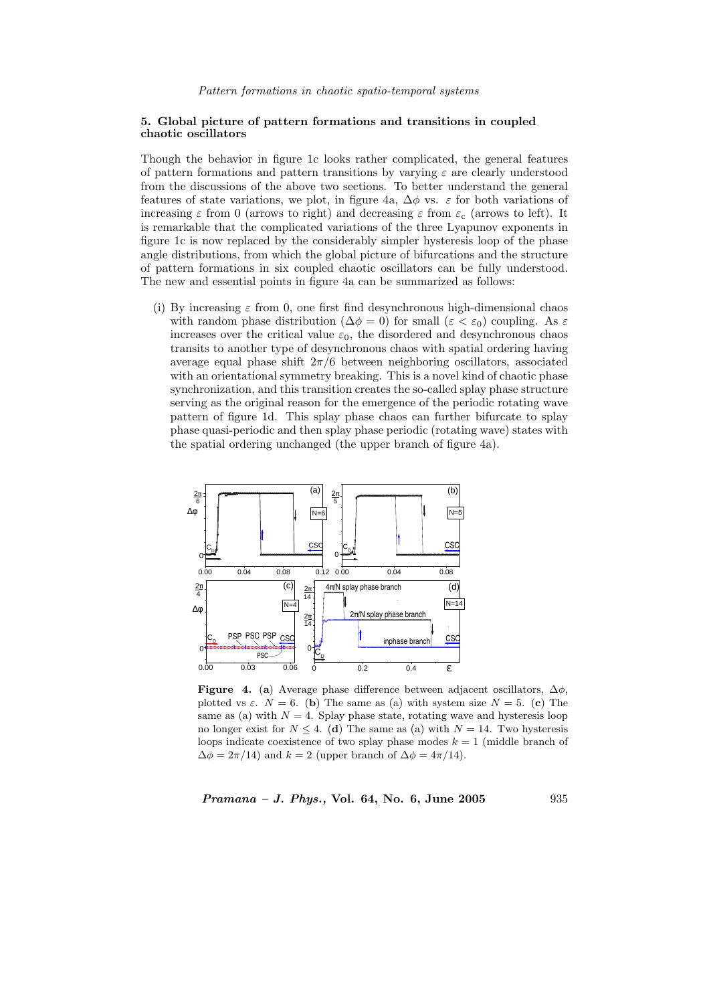# 5. Global picture of pattern formations and transitions in coupled chaotic oscillators

Though the behavior in figure 1c looks rather complicated, the general features of pattern formations and pattern transitions by varying  $\varepsilon$  are clearly understood from the discussions of the above two sections. To better understand the general features of state variations, we plot, in figure 4a,  $\Delta \phi$  vs.  $\varepsilon$  for both variations of increasing  $\varepsilon$  from 0 (arrows to right) and decreasing  $\varepsilon$  from  $\varepsilon_c$  (arrows to left). It is remarkable that the complicated variations of the three Lyapunov exponents in figure 1c is now replaced by the considerably simpler hysteresis loop of the phase angle distributions, from which the global picture of bifurcations and the structure of pattern formations in six coupled chaotic oscillators can be fully understood. The new and essential points in figure 4a can be summarized as follows:

(i) By increasing  $\varepsilon$  from 0, one first find desynchronous high-dimensional chaos with random phase distribution ( $\Delta \phi = 0$ ) for small ( $\varepsilon < \varepsilon_0$ ) coupling. As  $\varepsilon$ increases over the critical value  $\varepsilon_0$ , the disordered and desynchronous chaos transits to another type of desynchronous chaos with spatial ordering having average equal phase shift  $2\pi/6$  between neighboring oscillators, associated with an orientational symmetry breaking. This is a novel kind of chaotic phase synchronization, and this transition creates the so-called splay phase structure serving as the original reason for the emergence of the periodic rotating wave pattern of figure 1d. This splay phase chaos can further bifurcate to splay phase quasi-periodic and then splay phase periodic (rotating wave) states with the spatial ordering unchanged (the upper branch of figure 4a).



Figure 4. (a) Average phase difference between adjacent oscillators,  $\Delta \phi$ , plotted vs  $\varepsilon$ .  $N = 6$ . (b) The same as (a) with system size  $N = 5$ . (c) The same as (a) with  $N = 4$ . Splay phase state, rotating wave and hysteresis loop no longer exist for  $N \leq 4$ . (d) The same as (a) with  $N = 14$ . Two hysteresis loops indicate coexistence of two splay phase modes  $k = 1$  (middle branch of  $\Delta \phi = 2\pi/14$  and  $k = 2$  (upper branch of  $\Delta \phi = 4\pi/14$ ).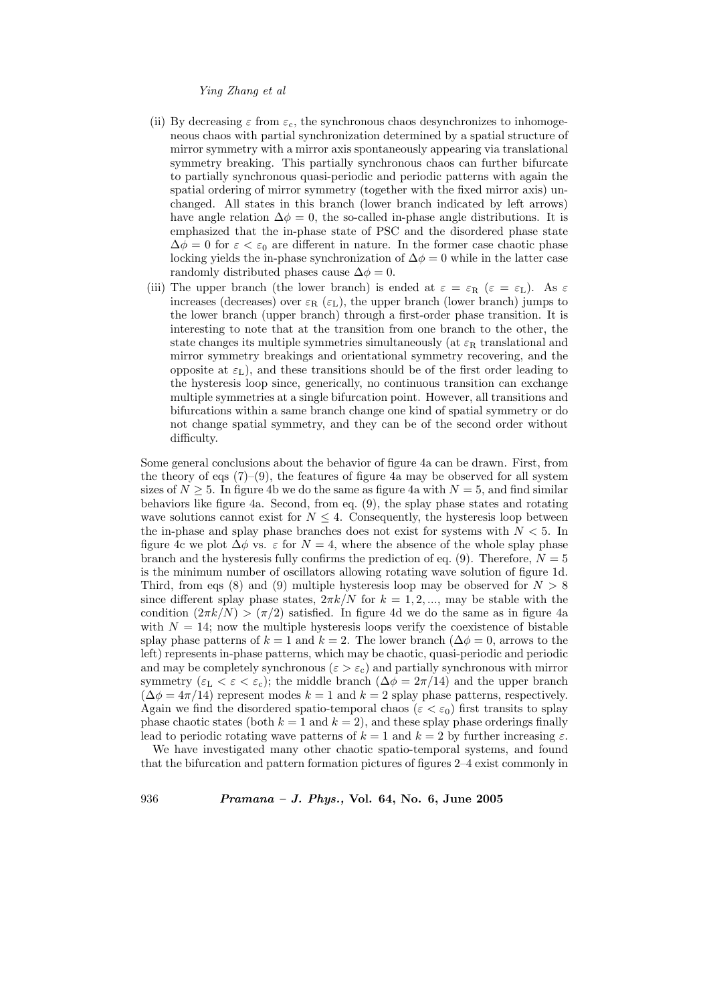- (ii) By decreasing  $\varepsilon$  from  $\varepsilon_c$ , the synchronous chaos desynchronizes to inhomogeneous chaos with partial synchronization determined by a spatial structure of mirror symmetry with a mirror axis spontaneously appearing via translational symmetry breaking. This partially synchronous chaos can further bifurcate to partially synchronous quasi-periodic and periodic patterns with again the spatial ordering of mirror symmetry (together with the fixed mirror axis) unchanged. All states in this branch (lower branch indicated by left arrows) have angle relation  $\Delta \phi = 0$ , the so-called in-phase angle distributions. It is emphasized that the in-phase state of PSC and the disordered phase state  $\Delta \phi = 0$  for  $\varepsilon < \varepsilon_0$  are different in nature. In the former case chaotic phase locking yields the in-phase synchronization of  $\Delta \phi = 0$  while in the latter case randomly distributed phases cause  $\Delta \phi = 0$ .
- (iii) The upper branch (the lower branch) is ended at  $\varepsilon = \varepsilon_R$  ( $\varepsilon = \varepsilon_L$ ). As  $\varepsilon$ increases (decreases) over  $\varepsilon_R$  ( $\varepsilon_L$ ), the upper branch (lower branch) jumps to the lower branch (upper branch) through a first-order phase transition. It is interesting to note that at the transition from one branch to the other, the state changes its multiple symmetries simultaneously (at  $\varepsilon_R$  translational and mirror symmetry breakings and orientational symmetry recovering, and the opposite at  $\varepsilon_L$ ), and these transitions should be of the first order leading to the hysteresis loop since, generically, no continuous transition can exchange multiple symmetries at a single bifurcation point. However, all transitions and bifurcations within a same branch change one kind of spatial symmetry or do not change spatial symmetry, and they can be of the second order without difficulty.

Some general conclusions about the behavior of figure 4a can be drawn. First, from the theory of eqs  $(7)-(9)$ , the features of figure 4a may be observed for all system sizes of  $N > 5$ . In figure 4b we do the same as figure 4a with  $N = 5$ , and find similar behaviors like figure 4a. Second, from eq. (9), the splay phase states and rotating wave solutions cannot exist for  $N \leq 4$ . Consequently, the hysteresis loop between the in-phase and splay phase branches does not exist for systems with  $N < 5$ . In figure 4c we plot  $\Delta \phi$  vs.  $\varepsilon$  for  $N = 4$ , where the absence of the whole splay phase branch and the hysteresis fully confirms the prediction of eq. (9). Therefore,  $N = 5$ is the minimum number of oscillators allowing rotating wave solution of figure 1d. Third, from eqs (8) and (9) multiple hysteresis loop may be observed for  $N > 8$ since different splay phase states,  $2\pi k/N$  for  $k = 1, 2, \dots$ , may be stable with the condition  $(2\pi k/N) > (\pi/2)$  satisfied. In figure 4d we do the same as in figure 4a with  $N = 14$ ; now the multiple hysteresis loops verify the coexistence of bistable splay phase patterns of  $k = 1$  and  $k = 2$ . The lower branch ( $\Delta \phi = 0$ , arrows to the left) represents in-phase patterns, which may be chaotic, quasi-periodic and periodic and may be completely synchronous ( $\varepsilon > \varepsilon_c$ ) and partially synchronous with mirror symmetry ( $\varepsilon_L < \varepsilon < \varepsilon_c$ ); the middle branch ( $\Delta \phi = 2\pi/14$ ) and the upper branch  $(\Delta \phi = 4\pi/14)$  represent modes  $k = 1$  and  $k = 2$  splay phase patterns, respectively. Again we find the disordered spatio-temporal chaos ( $\varepsilon < \varepsilon_0$ ) first transits to splay phase chaotic states (both  $k = 1$  and  $k = 2$ ), and these splay phase orderings finally lead to periodic rotating wave patterns of  $k = 1$  and  $k = 2$  by further increasing  $\varepsilon$ .

We have investigated many other chaotic spatio-temporal systems, and found that the bifurcation and pattern formation pictures of figures 2–4 exist commonly in